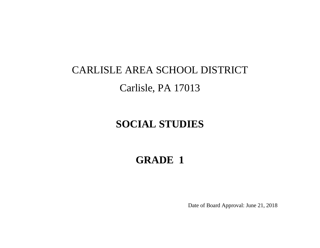# CARLISLE AREA SCHOOL DISTRICT Carlisle, PA 17013

## **SOCIAL STUDIES**

## **GRADE 1**

Date of Board Approval: June 21, 2018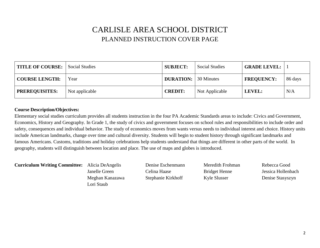#### CARLISLE AREA SCHOOL DISTRICT PLANNED INSTRUCTION COVER PAGE

| TITLE OF COURSE: Social Studies |                | <b>SUBJECT:</b>  | <b>Social Studies</b> | <b>GRADE LEVEL:</b> |         |
|---------------------------------|----------------|------------------|-----------------------|---------------------|---------|
| <b>COURSE LENGTH:</b>           | Year           | <b>DURATION:</b> | 30 Minutes            | <b>FREQUENCY:</b>   | 86 days |
| <b>PREREQUISITES:</b>           | Not applicable | <b>CREDIT:</b>   | Not Applicable        | LEVEL:              | N/A     |

#### **Course Description/Objectives:**

Elementary social studies curriculum provides all students instruction in the four PA Academic Standards areas to include: Civics and Government, Economics, History and Geography. In Grade 1, the study of civics and government focuses on school rules and responsibilities to include order and safety, consequences and individual behavior. The study of economics moves from wants versus needs to individual interest and choice. History units include American landmarks, change over time and cultural diversity. Students will begin to student history through significant landmarks and famous Americans. Customs, traditions and holiday celebrations help students understand that things are different in other parts of the world. In geography, students will distinguish between location and place. The use of maps and globes is introduced.

**Curriculum Writing Committee:** Alicia DeAngelis Denise Eschenmann Meredith Frohman Rebecca Good

Lori Staub

Janelle Green Celina Haase Bridget Henne Jessica Hollenbach Meghan Kanazawa Stephanie Kirkhoff Kyle Slusser Denise Stasyszyn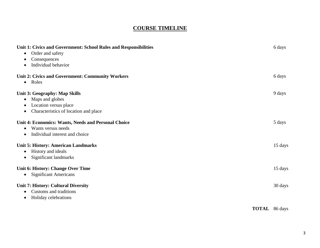#### **COURSE TIMELINE**

| Unit 1: Civics and Government: School Rules and Responsibilities |                      | 6 days  |
|------------------------------------------------------------------|----------------------|---------|
| Order and safety<br>$\bullet$                                    |                      |         |
| Consequences                                                     |                      |         |
| Individual behavior                                              |                      |         |
| <b>Unit 2: Civics and Government: Community Workers</b>          |                      | 6 days  |
| • Roles                                                          |                      |         |
| Unit 3: Geography: Map Skills                                    |                      | 9 days  |
| Maps and globes                                                  |                      |         |
| Location versus place                                            |                      |         |
| Characteristics of location and place<br>$\bullet$               |                      |         |
| <b>Unit 4: Economics: Wants, Needs and Personal Choice</b>       |                      | 5 days  |
| Wants versus needs                                               |                      |         |
| Individual interest and choice<br>$\bullet$                      |                      |         |
| <b>Unit 5: History: American Landmarks</b>                       |                      | 15 days |
| History and ideals                                               |                      |         |
| Significant landmarks<br>$\bullet$                               |                      |         |
| <b>Unit 6: History: Change Over Time</b>                         |                      | 15 days |
| <b>Significant Americans</b><br>$\bullet$                        |                      |         |
| <b>Unit 7: History: Cultural Diversity</b>                       |                      | 30 days |
| Customs and traditions                                           |                      |         |
| Holiday celebrations<br>$\bullet$                                |                      |         |
|                                                                  | <b>TOTAL</b> 86 days |         |
|                                                                  |                      |         |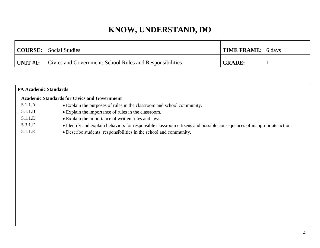| COURSE:         | Social Studies                                           | <b>TIME FRAME:</b> 6 days |  |
|-----------------|----------------------------------------------------------|---------------------------|--|
| $\mid$ UNIT #1: | Civics and Government: School Rules and Responsibilities | <b>GRADE:</b>             |  |

|         | <b>PA Academic Standards</b>                                                                                           |  |  |  |
|---------|------------------------------------------------------------------------------------------------------------------------|--|--|--|
|         | <b>Academic Standards for Civics and Government</b>                                                                    |  |  |  |
| 5.1.1.A | • Explain the purposes of rules in the classroom and school community.                                                 |  |  |  |
| 5.1.1.B | • Explain the importance of rules in the classroom.                                                                    |  |  |  |
| 5.1.1.D | • Explain the importance of written rules and laws.                                                                    |  |  |  |
| 5.3.1.F | • Identify and explain behaviors for responsible classroom citizens and possible consequences of inappropriate action. |  |  |  |
| 5.1.1.E | • Describe students' responsibilities in the school and community.                                                     |  |  |  |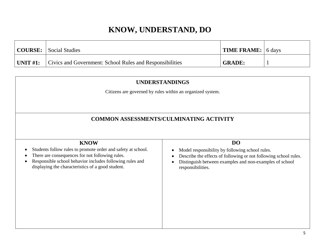|                 | <b>COURSE:</b> Social Studies                            | $\vert$ TIME FRAME: $\vert$ 6 days |  |
|-----------------|----------------------------------------------------------|------------------------------------|--|
| $\mid$ UNIT #1: | Civics and Government: School Rules and Responsibilities | <b>GRADE:</b>                      |  |

| <b>UNDERSTANDINGS</b>                                                                                       |                                                                                                                             |  |  |  |
|-------------------------------------------------------------------------------------------------------------|-----------------------------------------------------------------------------------------------------------------------------|--|--|--|
|                                                                                                             | Citizens are governed by rules within an organized system.                                                                  |  |  |  |
|                                                                                                             |                                                                                                                             |  |  |  |
|                                                                                                             |                                                                                                                             |  |  |  |
|                                                                                                             | <b>COMMON ASSESSMENTS/CULMINATING ACTIVITY</b>                                                                              |  |  |  |
|                                                                                                             |                                                                                                                             |  |  |  |
| <b>KNOW</b>                                                                                                 | <b>DO</b>                                                                                                                   |  |  |  |
| Students follow rules to promote order and safety at school.                                                | Model responsibility by following school rules.                                                                             |  |  |  |
| There are consequences for not following rules.<br>Responsible school behavior includes following rules and | Describe the effects of following or not following school rules.<br>Distinguish between examples and non-examples of school |  |  |  |
| displaying the characteristics of a good student.                                                           | responsibilities.                                                                                                           |  |  |  |
|                                                                                                             |                                                                                                                             |  |  |  |
|                                                                                                             |                                                                                                                             |  |  |  |
|                                                                                                             |                                                                                                                             |  |  |  |
|                                                                                                             |                                                                                                                             |  |  |  |
|                                                                                                             |                                                                                                                             |  |  |  |
|                                                                                                             |                                                                                                                             |  |  |  |
|                                                                                                             |                                                                                                                             |  |  |  |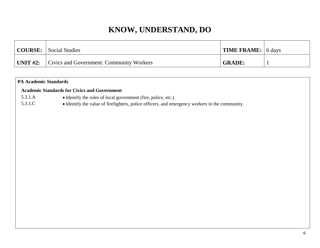| <b>COURSE:</b> Social Studies                            | $\vert$ TIME FRAME: $\vert$ 6 days |  |
|----------------------------------------------------------|------------------------------------|--|
| <b>UNIT #2:</b> Civics and Government: Community Workers | <b>GRADE:</b>                      |  |

#### **PA Academic Standards**

#### **Academic Standards for Civics and Government**

- 
- 5.3.1.A Identify the roles of local government (fire, police, etc.).
- 5.3.1.C Identify the value of firefighters, police officers, and emergency workers in the community.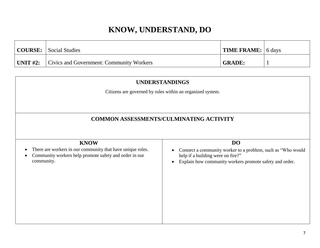|                 | <b>COURSE:</b> Social Studies            | <b>TIME FRAME:</b> 6 days |  |
|-----------------|------------------------------------------|---------------------------|--|
| $\mid$ UNIT #2: | Civics and Government: Community Workers | <b>GRADE:</b>             |  |

| <b>UNDERSTANDINGS</b>                                                                                                             |                                                                                                  |  |
|-----------------------------------------------------------------------------------------------------------------------------------|--------------------------------------------------------------------------------------------------|--|
|                                                                                                                                   | Citizens are governed by rules within an organized system.                                       |  |
|                                                                                                                                   |                                                                                                  |  |
|                                                                                                                                   |                                                                                                  |  |
|                                                                                                                                   | <b>COMMON ASSESSMENTS/CULMINATING ACTIVITY</b>                                                   |  |
|                                                                                                                                   |                                                                                                  |  |
| <b>KNOW</b>                                                                                                                       | <b>DO</b>                                                                                        |  |
| There are workers in our community that have unique roles.<br>Community workers help promote safety and order in our<br>$\bullet$ | Connect a community worker to a problem, such as "Who would<br>help if a building were on fire?" |  |
| community.                                                                                                                        | Explain how community workers promote safety and order.                                          |  |
|                                                                                                                                   |                                                                                                  |  |
|                                                                                                                                   |                                                                                                  |  |
|                                                                                                                                   |                                                                                                  |  |
|                                                                                                                                   |                                                                                                  |  |
|                                                                                                                                   |                                                                                                  |  |
|                                                                                                                                   |                                                                                                  |  |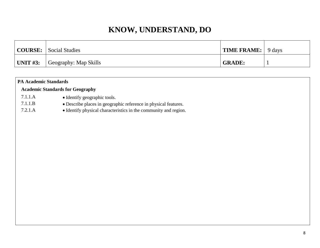| <b>COURSE:</b> | Social Studies        | <b>TIME FRAME:</b> 9 days |  |
|----------------|-----------------------|---------------------------|--|
| UNIT $#3$ :    | Geography: Map Skills | <b>GRADE:</b>             |  |

| <b>PA Academic Standards</b> |                                                                  |
|------------------------------|------------------------------------------------------------------|
|                              | <b>Academic Standards for Geography</b>                          |
| 7.1.1.A                      | • Identify geographic tools.                                     |
| 7.1.1.B                      | • Describe places in geographic reference in physical features.  |
| 7.2.1.A                      | • Identify physical characteristics in the community and region. |
|                              |                                                                  |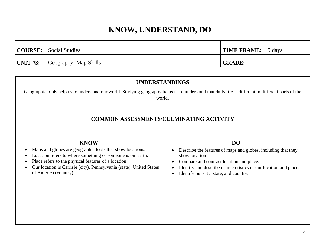|                 | COURSE: Social Studies | $\vert$ TIME FRAME: $\vert$ 9 days |  |
|-----------------|------------------------|------------------------------------|--|
| $\mid$ UNIT #3: | Geography: Map Skills  | <b>GRADE:</b>                      |  |

| <b>UNDERSTANDINGS</b>                                                                                                                                                                                          |                                                                                                              |  |  |
|----------------------------------------------------------------------------------------------------------------------------------------------------------------------------------------------------------------|--------------------------------------------------------------------------------------------------------------|--|--|
| Geographic tools help us to understand our world. Studying geography helps us to understand that daily life is different in different parts of the<br>world.<br><b>COMMON ASSESSMENTS/CULMINATING ACTIVITY</b> |                                                                                                              |  |  |
|                                                                                                                                                                                                                |                                                                                                              |  |  |
| <b>KNOW</b><br>Maps and globes are geographic tools that show locations.                                                                                                                                       | <b>DO</b><br>Describe the features of maps and globes, including that they                                   |  |  |
| Location refers to where something or someone is on Earth.                                                                                                                                                     | show location.                                                                                               |  |  |
| Place refers to the physical features of a location.<br>Our location is Carlisle (city), Pennsylvania (state), United States                                                                                   | Compare and contrast location and place.<br>Identify and describe characteristics of our location and place. |  |  |
| of America (country).                                                                                                                                                                                          | Identify our city, state, and country.                                                                       |  |  |
|                                                                                                                                                                                                                |                                                                                                              |  |  |
|                                                                                                                                                                                                                |                                                                                                              |  |  |
|                                                                                                                                                                                                                |                                                                                                              |  |  |
|                                                                                                                                                                                                                |                                                                                                              |  |  |
|                                                                                                                                                                                                                |                                                                                                              |  |  |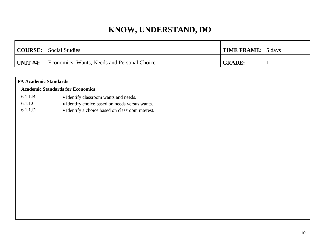| <b>COURSE:</b> | Social Studies                                     | <b>TIME FRAME:</b> 5 days |  |
|----------------|----------------------------------------------------|---------------------------|--|
| $UNIT$ #4:     | <b>Economics: Wants, Needs and Personal Choice</b> | <b>GRADE:</b>             |  |

|         | <b>PA Academic Standards</b>                     |  |  |
|---------|--------------------------------------------------|--|--|
|         | <b>Academic Standards for Economics</b>          |  |  |
| 6.1.1.B | • Identify classroom wants and needs.            |  |  |
| 6.1.1.C | • Identify choice based on needs versus wants.   |  |  |
| 6.1.1.D | • Identify a choice based on classroom interest. |  |  |
|         |                                                  |  |  |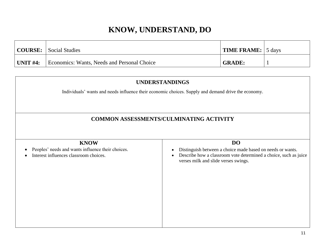|                  | <b>COURSE:</b> Social Studies               | $\vert$ TIME FRAME: $\vert$ 5 days |  |
|------------------|---------------------------------------------|------------------------------------|--|
| $\vert$ UNIT #4: | Economics: Wants, Needs and Personal Choice | <b>GRADE:</b>                      |  |

| <b>UNDERSTANDINGS</b><br>Individuals' wants and needs influence their economic choices. Supply and demand drive the economy.<br><b>COMMON ASSESSMENTS/CULMINATING ACTIVITY</b> |                                                                                                                                                                                     |  |
|--------------------------------------------------------------------------------------------------------------------------------------------------------------------------------|-------------------------------------------------------------------------------------------------------------------------------------------------------------------------------------|--|
| <b>KNOW</b><br>Peoples' needs and wants influence their choices.<br>Interest influences classroom choices.                                                                     | <b>DO</b><br>Distinguish between a choice made based on needs or wants.<br>Describe how a classroom vote determined a choice, such as juice<br>verses milk and slide verses swings. |  |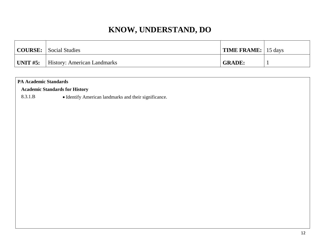|            | <b>COURSE:</b> Social Studies      | <b>TIME FRAME:</b> 15 days |  |
|------------|------------------------------------|----------------------------|--|
| UNIT $#5:$ | <b>History: American Landmarks</b> | <b>GRADE:</b>              |  |

#### **PA Academic Standards**

#### **Academic Standards for History**

8.3.1.B • Identify American landmarks and their significance.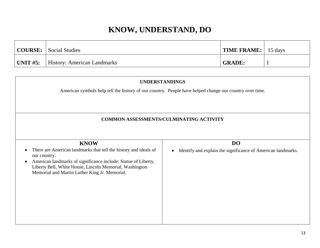|                  | <b>COURSE:</b> Social Studies      | <b>TIME FRAME:</b>   15 days |  |
|------------------|------------------------------------|------------------------------|--|
| $\vert$ UNIT #5: | <b>History: American Landmarks</b> | <b>GRADE:</b>                |  |

| <b>UNDERSTANDINGS</b><br>American symbols help tell the history of our country. People have helped change our country over time.                                           |  |  |  |  |
|----------------------------------------------------------------------------------------------------------------------------------------------------------------------------|--|--|--|--|
| <b>COMMON ASSESSMENTS/CULMINATING ACTIVITY</b>                                                                                                                             |  |  |  |  |
| DO<br><b>KNOW</b><br>There are American landmarks that tell the history and ideals of<br>Identify and explain the significance of American landmarks.<br>our country.      |  |  |  |  |
| American landmarks of significance include: Statue of Liberty,<br>Liberty Bell, White House, Lincoln Memorial, Washington<br>Memorial and Martin Luther King Jr. Memorial. |  |  |  |  |
|                                                                                                                                                                            |  |  |  |  |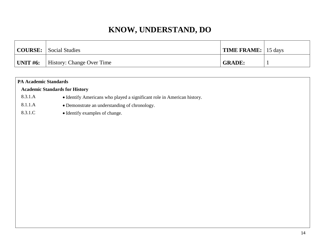|           | COURSE: Social Studies    | <b>TIME FRAME:</b> 15 days |  |
|-----------|---------------------------|----------------------------|--|
| 'UNIT #6: | History: Change Over Time | <b>GRADE:</b>              |  |

|                                       | <b>PA Academic Standards</b>                                            |  |  |
|---------------------------------------|-------------------------------------------------------------------------|--|--|
| <b>Academic Standards for History</b> |                                                                         |  |  |
| 8.3.1.A                               | • Identify Americans who played a significant role in American history. |  |  |
| 8.1.1.A                               | • Demonstrate an understanding of chronology.                           |  |  |
| 8.3.1.C                               | • Identify examples of change.                                          |  |  |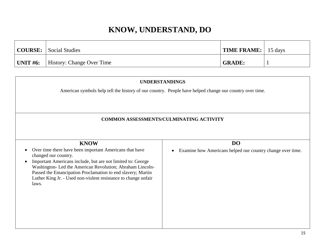| <b>COURSE:</b> Social Studies                      | <b>TIME FRAME:</b>   15 days |  |
|----------------------------------------------------|------------------------------|--|
| $\vert$ UNIT #6: $\vert$ History: Change Over Time | <b>GRADE:</b>                |  |

| <b>UNDERSTANDINGS</b>                                                                                                                                                                                                                                                                                                                                              |                                                                                                         |  |
|--------------------------------------------------------------------------------------------------------------------------------------------------------------------------------------------------------------------------------------------------------------------------------------------------------------------------------------------------------------------|---------------------------------------------------------------------------------------------------------|--|
|                                                                                                                                                                                                                                                                                                                                                                    | American symbols help tell the history of our country. People have helped change our country over time. |  |
|                                                                                                                                                                                                                                                                                                                                                                    |                                                                                                         |  |
|                                                                                                                                                                                                                                                                                                                                                                    |                                                                                                         |  |
|                                                                                                                                                                                                                                                                                                                                                                    | <b>COMMON ASSESSMENTS/CULMINATING ACTIVITY</b>                                                          |  |
|                                                                                                                                                                                                                                                                                                                                                                    |                                                                                                         |  |
| <b>KNOW</b>                                                                                                                                                                                                                                                                                                                                                        | <b>DO</b>                                                                                               |  |
| Over time there have been important Americans that have<br>changed our country.<br>Important Americans include, but are not limited to: George<br>$\bullet$<br>Washington- Led the American Revolution; Abraham Lincoln-<br>Passed the Emancipation Proclamation to end slavery; Martin<br>Luther King Jr. - Used non-violent resistance to change unfair<br>laws. | Examine how Americans helped our country change over time.                                              |  |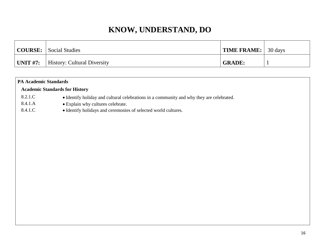|                 | <b>COURSE:</b> Social Studies      | <b>TIME FRAME:</b> 30 days |  |
|-----------------|------------------------------------|----------------------------|--|
| <b>UNIT #7:</b> | <b>History: Cultural Diversity</b> | <b>GRADE:</b>              |  |

| <b>PA Academic Standards</b>          |                                                                                          |  |  |  |
|---------------------------------------|------------------------------------------------------------------------------------------|--|--|--|
| <b>Academic Standards for History</b> |                                                                                          |  |  |  |
| 8.2.1.C                               | • Identify holiday and cultural celebrations in a community and why they are celebrated. |  |  |  |
| 8.4.1.A                               | • Explain why cultures celebrate.                                                        |  |  |  |
| 8.4.1.C                               | • Identify holidays and ceremonies of selected world cultures.                           |  |  |  |
|                                       |                                                                                          |  |  |  |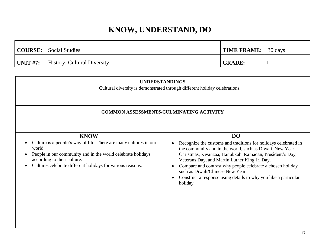|                 | <b>COURSE:</b> Social Studies      | <b>TIME FRAME:</b> 30 days |  |
|-----------------|------------------------------------|----------------------------|--|
| $\mid$ UNIT #7: | <b>History: Cultural Diversity</b> | <b>GRADE:</b>              |  |

| <b>UNDERSTANDINGS</b><br>Cultural diversity is demonstrated through different holiday celebrations.<br><b>COMMON ASSESSMENTS/CULMINATING ACTIVITY</b> |  |  |  |  |
|-------------------------------------------------------------------------------------------------------------------------------------------------------|--|--|--|--|
|                                                                                                                                                       |  |  |  |  |